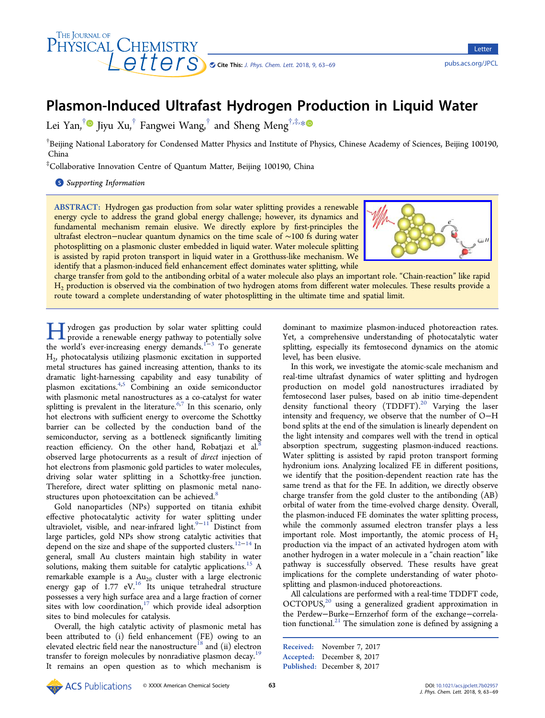

# Plasmon-Induced Ultrafast Hydrogen Production in Liquid Water

Lei Yan, $^\dagger\textcolor{black}{\bm{\mathsf{0}}}$  Jiyu Xu, $^\dagger$  Fangwei Wang, $^\dagger$  and Sheng Meng $^{\dagger,\ddagger,\ast,\ast}$ 

 $^\dagger$ Beijing National Laboratory for Condensed Matter Physics and Institute of Physics, Chinese Academy of Sciences, Beijing 100190, China

‡ Collaborative Innovation Centre of Quantum Matter, Beijing 100190, China

**S** [Supporting Information](#page-5-0)

ABSTRACT: Hydrogen gas production from solar water splitting provides a renewable energy cycle to address the grand global energy challenge; however, its dynamics and fundamental mechanism remain elusive. We directly explore by first-principles the ultrafast electron−nuclear quantum dynamics on the time scale of ∼100 fs during water photosplitting on a plasmonic cluster embedded in liquid water. Water molecule splitting is assisted by rapid proton transport in liquid water in a Grotthuss-like mechanism. We identify that a plasmon-induced field enhancement effect dominates water splitting, while



charge transfer from gold to the antibonding orbital of a water molecule also plays an important role. "Chain-reaction" like rapid H<sub>2</sub> production is observed via the combination of two hydrogen atoms from different water molecules. These results provide a route toward a complete understanding of water photosplitting in the ultimate time and spatial limit.

 $\prod$  ydrogen gas production by solar water splitting could<br>provide a renewable energy pathway to potentially solve<br>the world's over increasing anorgy domanda<sup>1-3</sup> To congrete the world's ever-increasing energy demands.<sup>1−3</sup> To generate H2, photocatalysis utilizing plasmonic excitation in supported metal structures has gained increasing attention, thanks to its dramatic light-harnessing capability and easy tunability of plasmon excitations.<sup>[4,5](#page-5-0)</sup> Combining an oxide semiconductor with plasmonic metal nanostructures as a co-catalyst for water splitting is prevalent in the literature.<sup>[6](#page-5-0),[7](#page-5-0)</sup> In this scenario, only hot electrons with sufficient energy to overcome the Schottky barrier can be collected by the conduction band of the semiconductor, serving as a bottleneck significantly limiting reaction efficiency. On the other hand, Robatjazi et al. $8$ observed large photocurrents as a result of direct injection of hot electrons from plasmonic gold particles to water molecules, driving solar water splitting in a Schottky-free junction. Therefore, direct water splitting on plasmonic metal nano-structures upon photoexcitation can be achieved.<sup>[8](#page-5-0)</sup>

Gold nanoparticles (NPs) supported on titania exhibit effective photocatalytic activity for water splitting under ultraviolet, visible, and near-infrared light.<sup>[9](#page-5-0)-[11](#page-5-0)</sup> Distinct from large particles, gold NPs show strong catalytic activities that depend on the size and shape of the supported clusters.<sup>[12](#page-5-0)−[14](#page-5-0)</sup> In general, small Au clusters maintain high stability in water solutions, making them suitable for catalytic applications.<sup>[15](#page-5-0)</sup> A remarkable example is a  $Au_{20}$  cluster with a large electronic energy gap of  $1.77$  eV.<sup>[16](#page-5-0)</sup> Its unique tetrahedral structure possesses a very high surface area and a large fraction of corner sites with low coordination, $17$  which provide ideal adsorption sites to bind molecules for catalysis.

Overall, the high catalytic activity of plasmonic metal has been attributed to (i) field enhancement (FE) owing to an elevated electric field near the nanostructure<sup>[18](#page-5-0)</sup> and (ii) electron transfer to foreign molecules by nonradiative plasmon decay.<sup>[19](#page-5-0)</sup> It remains an open question as to which mechanism is

dominant to maximize plasmon-induced photoreaction rates. Yet, a comprehensive understanding of photocatalytic water splitting, especially its femtosecond dynamics on the atomic level, has been elusive.

In this work, we investigate the atomic-scale mechanism and real-time ultrafast dynamics of water splitting and hydrogen production on model gold nanostructures irradiated by femtosecond laser pulses, based on ab initio time-dependent density functional theory (TDDFT).<sup>[20](#page-5-0)</sup> Varying the laser intensity and frequency, we observe that the number of O−H bond splits at the end of the simulation is linearly dependent on the light intensity and compares well with the trend in optical absorption spectrum, suggesting plasmon-induced reactions. Water splitting is assisted by rapid proton transport forming hydronium ions. Analyzing localized FE in different positions, we identify that the position-dependent reaction rate has the same trend as that for the FE. In addition, we directly observe charge transfer from the gold cluster to the antibonding (AB) orbital of water from the time-evolved charge density. Overall, the plasmon-induced FE dominates the water splitting process, while the commonly assumed electron transfer plays a less important role. Most importantly, the atomic process of  $H_2$ production via the impact of an activated hydrogen atom with another hydrogen in a water molecule in a "chain reaction" like pathway is successfully observed. These results have great implications for the complete understanding of water photosplitting and plasmon-induced photoreactions.

All calculations are performed with a real-time TDDFT code, OCTOPUS,<sup>[20](#page-5-0)</sup> using a generalized gradient approximation in the Perdew−Burke−Ernzerhof form of the exchange−correla-tion functional.<sup>[21](#page-5-0)</sup> The simulation zone is defined by assigning a

Received: November 7, 2017 Accepted: December 8, 2017

Published: December 8, 2017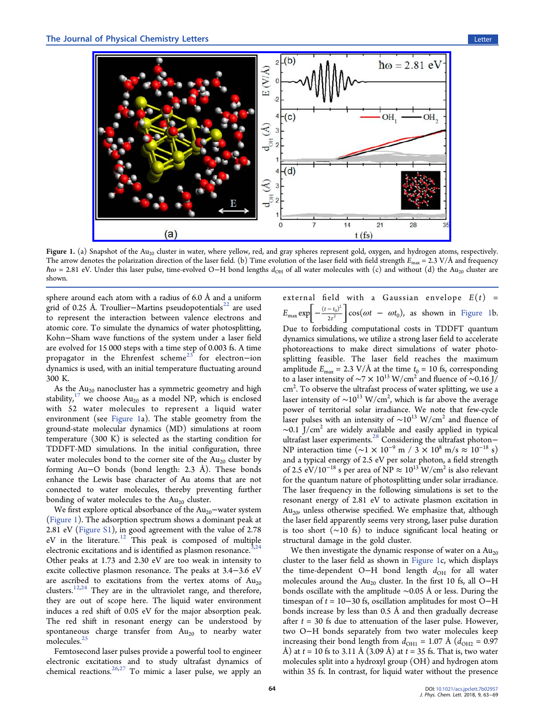<span id="page-1-0"></span>

Figure 1. (a) Snapshot of the  $Au_{20}$  cluster in water, where yellow, red, and gray spheres represent gold, oxygen, and hydrogen atoms, respectively. The arrow denotes the polarization direction of the laser field. (b) Time evolution of the laser field with field strength  $E_{\text{max}} = 2.3 \text{ V}/\text{\AA}$  and frequency  $\hbar\omega$  = 2.81 eV. Under this laser pulse, time-evolved O−H bond lengths  $d_{OH}$  of all water molecules with (c) and without (d) the Au<sub>20</sub> cluster are shown.

sphere around each atom with a radius of 6.0 Å and a uniform grid of 0.25 Å. Troullier–Martins pseudopotentials<sup>[22](#page-5-0)</sup> are used to represent the interaction between valence electrons and atomic core. To simulate the dynamics of water photosplitting, Kohn−Sham wave functions of the system under a laser field are evolved for 15 000 steps with a time step of 0.003 fs. A time propagator in the Ehrenfest scheme<sup>[23](#page-5-0)</sup> for electron-ion dynamics is used, with an initial temperature fluctuating around 300 K.

As the  $Au_{20}$  nanocluster has a symmetric geometry and high stability,<sup>[17](#page-5-0)</sup> we choose  $Au_{20}$  as a model NP, which is enclosed with 52 water molecules to represent a liquid water environment (see Figure 1a). The stable geometry from the ground-state molecular dynamics (MD) simulations at room temperature (300 K) is selected as the starting condition for TDDFT-MD simulations. In the initial configuration, three water molecules bond to the corner site of the  $Au_{20}$  cluster by forming Au−O bonds (bond length: 2.3 Å). These bonds enhance the Lewis base character of Au atoms that are not connected to water molecules, thereby preventing further bonding of water molecules to the  $Au_{20}$  cluster.

We first explore optical absorbance of the  $Au_{20}$ −water system (Figure 1). The adsorption spectrum shows a dominant peak at 2.81 eV ([Figure S1](http://pubs.acs.org/doi/suppl/10.1021/acs.jpclett.7b02957/suppl_file/jz7b02957_si_001.pdf)), in good agreement with the value of 2.78 eV in the literature.[12](#page-5-0) This peak is composed of multiple electronic excitations and is identified as plasmon resonance. $3.24$ Other peaks at 1.73 and 2.30 eV are too weak in intensity to excite collective plasmon resonance. The peaks at 3.4−3.6 eV are ascribed to excitations from the vertex atoms of  $Au_{20}$ clusters.<sup>[12,24](#page-5-0)</sup> They are in the ultraviolet range, and therefore, they are out of scope here. The liquid water environment induces a red shift of 0.05 eV for the major absorption peak. The red shift in resonant energy can be understood by spontaneous charge transfer from  $Au_{20}$  to nearby water molecules.<sup>[25](#page-5-0)</sup>

Femtosecond laser pulses provide a powerful tool to engineer electronic excitations and to study ultrafast dynamics of chemical reactions.<sup>[26,27](#page-5-0)</sup> To mimic a laser pulse, we apply an

external field with a Gaussian envelope  $E(t)$  =  $E_{\text{max}} \exp \left[-\frac{(t-t_0)^2}{2\tau^2}\right]$ 2  $\frac{t_0^2}{2}$  cos( $\omega t - \omega t_0$ ), as shown in Figure 1b. Due to forbidding computational costs in TDDFT quantum dynamics simulations, we utilize a strong laser field to accelerate photoreactions to make direct simulations of water photosplitting feasible. The laser field reaches the maximum amplitude  $E_{\text{max}} = 2.3 \text{ V}/\text{\AA}$  at the time  $t_0 = 10 \text{ fs}$ , corresponding to a laser intensity of  $\sim$ 7  $\times$  10<sup>13</sup> W/cm<sup>2</sup> and fluence of ∼0.16 J/  $\rm cm^2.$  To observe the ultrafast process of water splitting, we use a laser intensity of  $\sim\!\!10^{13}\ \mathrm{W/cm^2},$  which is far above the average power of territorial solar irradiance. We note that few-cycle laser pulses with an intensity of  $∼10^{13}$  W/cm<sup>2</sup> and fluence of  $\sim$ 0.1 J/cm<sup>2</sup> are widely available and easily applied in typical ultrafast laser experiments.[28](#page-5-0) Considering the ultrafast photon− NP interaction time ( $\sim$ 1 × 10<sup>-9</sup> m / 3 × 10<sup>8</sup> m/s ≈ 10<sup>-18</sup> s) and a typical energy of 2.5 eV per solar photon, a field strength of 2.5 eV/10<sup>-18</sup> s per area of NP  $\approx 10^{13}$  W/cm<sup>2</sup> is also relevant for the quantum nature of photosplitting under solar irradiance. The laser frequency in the following simulations is set to the resonant energy of 2.81 eV to activate plasmon excitation in  $Au_{20}$ , unless otherwise specified. We emphasize that, although the laser field apparently seems very strong, laser pulse duration is too short (∼10 fs) to induce significant local heating or structural damage in the gold cluster.

We then investigate the dynamic response of water on a  $Au_{20}$ cluster to the laser field as shown in Figure 1c, which displays the time-dependent O−H bond length  $d_{\rm OH}$  for all water molecules around the  $Au_{20}$  cluster. In the first 10 fs, all O−H bonds oscillate with the amplitude ∼0.05 Å or less. During the timespan of  $t = 10-30$  fs, oscillation amplitudes for most O-H bonds increase by less than 0.5 Å and then gradually decrease after  $t = 30$  fs due to attenuation of the laser pulse. However, two O−H bonds separately from two water molecules keep increasing their bond length from  $d_{\text{OH1}} = 1.07 \text{ Å } (d_{\text{OH2}} = 0.97$ Å) at  $t = 10$  fs to 3.11 Å (3.09 Å) at  $t = 35$  fs. That is, two water molecules split into a hydroxyl group (OH) and hydrogen atom within 35 fs. In contrast, for liquid water without the presence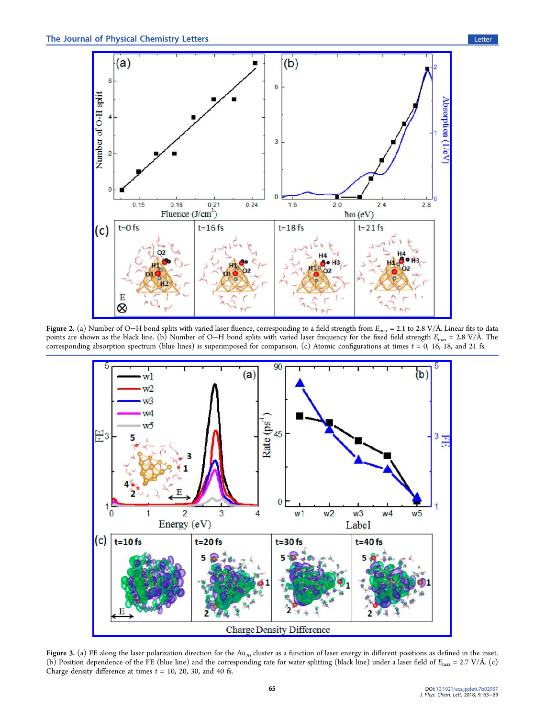<span id="page-2-0"></span>

Figure 2. (a) Number of O−H bond splits with varied laser fluence, corresponding to a field strength from Emax = 2.1 to 2.8 V/Å. Linear fits to data points are shown as the black line. (b) Number of O−H bond splits with varied laser frequency for the fixed field strength  $E_{\text{max}} = 2.8 \text{ V/A}$ . The corresponding absorption spectrum (blue lines) is superimposed for comparison. (c) Atomic configurations at times  $t = 0$ , 16, 18, and 21 fs.



Figure 3. (a) FE along the laser polarization direction for the Au<sub>20</sub> cluster as a function of laser energy in different positions as defined in the inset. (b) Position dependence of the FE (blue line) and the corresponding rate for water splitting (black line) under a laser field of  $E_{\text{max}} = 2.7 \text{ V/A}$ . (c) Charge density difference at times  $t = 10$ , 20, 30, and 40 fs.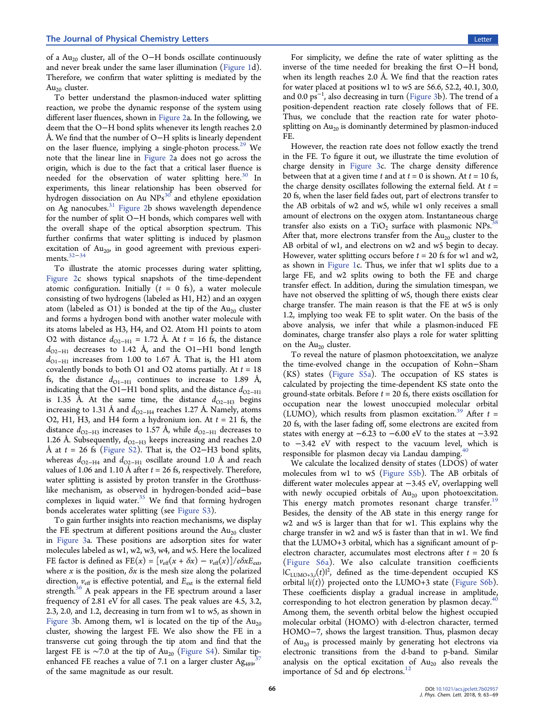of a Au<sub>20</sub> cluster, all of the O–H bonds oscillate continuously and never break under the same laser illumination ([Figure 1d](#page-1-0)). Therefore, we confirm that water splitting is mediated by the Au<sub>20</sub> cluster.

To better understand the plasmon-induced water splitting reaction, we probe the dynamic response of the system using different laser fluences, shown in [Figure 2](#page-2-0)a. In the following, we deem that the O−H bond splits whenever its length reaches 2.0 Å. We find that the number of O−H splits is linearly dependent on the laser fluence, implying a single-photon process.<sup>[29](#page-6-0)</sup> We note that the linear line in [Figure 2](#page-2-0)a does not go across the origin, which is due to the fact that a critical laser fluence is needed for the observation of water splitting here.<sup>[30](#page-6-0)</sup> In experiments, this linear relationship has been observed for hydrogen dissociation on Au  $NPs^{30}$  $NPs^{30}$  $NPs^{30}$  and ethylene epoxidation on Ag nanocubes.<sup>[31](#page-6-0)</sup> [Figure 2b](#page-2-0) shows wavelength dependence for the number of split O−H bonds, which compares well with the overall shape of the optical absorption spectrum. This further confirms that water splitting is induced by plasmon excitation of  $Au_{20}$ , in good agreement with previous experiments.[32](#page-6-0)−[34](#page-6-0)

To illustrate the atomic processes during water splitting, [Figure 2c](#page-2-0) shows typical snapshots of the time-dependent atomic configuration. Initially  $(t = 0$  fs), a water molecule consisting of two hydrogens (labeled as H1, H2) and an oxygen atom (labeled as O1) is bonded at the tip of the  $Au_{20}$  cluster and forms a hydrogen bond with another water molecule with its atoms labeled as H3, H4, and O2. Atom H1 points to atom O2 with distance  $d_{\text{O2-H1}} = 1.72$  Å. At  $t = 16$  fs, the distance  $d_{\text{O2-H1}}$  decreases to 1.42 Å, and the O1−H1 bond length  $d_{\text{O1-H1}}$  increases from 1.00 to 1.67 Å. That is, the H1 atom covalently bonds to both O1 and O2 atoms partially. At  $t = 18$ fs, the distance  $d_{\text{O1-H1}}$  continues to increase to 1.89 Å, indicating that the O1−H1 bond splits, and the distance  $d_{O2-H1}$ is 1.35 Å. At the same time, the distance  $d_{\Omega2-H3}$  begins increasing to 1.31 Å and  $d_{\text{O2-H4}}$  reaches 1.27 Å. Namely, atoms O2, H1, H3, and H4 form a hydronium ion. At  $t = 21$  fs, the distance  $d_{\text{O2-H3}}$  increases to 1.57 Å, while  $d_{\text{O2-H1}}$  decreases to 1.26 Å. Subsequently,  $d_{\text{O2-H3}}$  keeps increasing and reaches 2.0 Å at  $t = 26$  fs [\(Figure S2\)](http://pubs.acs.org/doi/suppl/10.1021/acs.jpclett.7b02957/suppl_file/jz7b02957_si_001.pdf). That is, the O2–H3 bond splits, whereas  $d_{\text{O2-H4}}$  and  $d_{\text{O2-H1}}$  oscillate around 1.0 Å and reach values of 1.06 and 1.10 Å after  $t = 26$  fs, respectively. Therefore, water splitting is assisted by proton transfer in the Grotthusslike mechanism, as observed in hydrogen-bonded acid−base complexes in liquid water. $35$  We find that forming hydrogen bonds accelerates water splitting (see [Figure S3](http://pubs.acs.org/doi/suppl/10.1021/acs.jpclett.7b02957/suppl_file/jz7b02957_si_001.pdf)).

To gain further insights into reaction mechanisms, we display the FE spectrum at different positions around the  $Au_{20}$  cluster in [Figure 3a](#page-2-0). These positions are adsorption sites for water molecules labeled as w1, w2, w3, w4, and w5. Here the localized FE factor is defined as FE(x) =  $[v_{\text{eff}}(x + \delta x) - v_{\text{eff}}(x)]/e\delta xE_{\text{ext}}$ where  $x$  is the position,  $\delta x$  is the mesh size along the polarized direction,  $v_{\text{eff}}$  is effective potential, and  $E_{\text{ext}}$  is the external field strength. $36$  A peak appears in the FE spectrum around a laser frequency of 2.81 eV for all cases. The peak values are 4.5, 3.2, 2.3, 2.0, and 1.2, decreasing in turn from w1 to w5, as shown in [Figure 3b](#page-2-0). Among them, w1 is located on the tip of the  $Au_{20}$ cluster, showing the largest FE. We also show the FE in a transverse cut going through the tip atom and find that the largest FE is ~7.0 at the tip of Au<sub>20</sub> ([Figure S4\)](http://pubs.acs.org/doi/suppl/10.1021/acs.jpclett.7b02957/suppl_file/jz7b02957_si_001.pdf). Similar tip-<br>ephanced EE reaches a value of 7.1 on a larger cluster Ag enhanced FE reaches a value of 7.1 on a larger cluster  $Ag<sub>489</sub>$ , of the same magnitude as our result.

For simplicity, we define the rate of water splitting as the inverse of the time needed for breaking the first O−H bond, when its length reaches 2.0 Å. We find that the reaction rates for water placed at positions w1 to w5 are 56.6, 52.2, 40.1, 30.0, and 0.0 ps<sup>−1</sup>, also decreasing in turn ([Figure 3](#page-2-0)b). The trend of a position-dependent reaction rate closely follows that of FE. Thus, we conclude that the reaction rate for water photosplitting on  $Au_{20}$  is dominantly determined by plasmon-induced FE.

However, the reaction rate does not follow exactly the trend in the FE. To figure it out, we illustrate the time evolution of charge density in [Figure 3](#page-2-0)c. The charge density difference between that at a given time t and at  $t = 0$  is shown. At  $t = 10$  fs, the charge density oscillates following the external field. At  $t =$ 20 fs, when the laser field fades out, part of electrons transfer to the AB orbitals of w2 and w5, while w1 only receives a small amount of electrons on the oxygen atom. Instantaneous charge transfer also exists on a TiO<sub>2</sub> surface with plasmonic NPs.<sup>3</sup> After that, more electrons transfer from the  $Au_{20}$  cluster to the AB orbital of w1, and electrons on w2 and w5 begin to decay. However, water splitting occurs before  $t = 20$  fs for w1 and w2, as shown in [Figure 1c](#page-1-0). Thus, we infer that w1 splits due to a large FE, and w2 splits owing to both the FE and charge transfer effect. In addition, during the simulation timespan, we have not observed the splitting of w5, though there exists clear charge transfer. The main reason is that the FE at w5 is only 1.2, implying too weak FE to split water. On the basis of the above analysis, we infer that while a plasmon-induced FE dominates, charge transfer also plays a role for water splitting on the  $Au_{20}$  cluster.

To reveal the nature of plasmon photoexcitation, we analyze the time-evolved change in the occupation of Kohn−Sham (KS) states ([Figure S5a\)](http://pubs.acs.org/doi/suppl/10.1021/acs.jpclett.7b02957/suppl_file/jz7b02957_si_001.pdf). The occupation of KS states is calculated by projecting the time-dependent KS state onto the ground-state orbitals. Before  $t = 20$  fs, there exists oscillation for occupation near the lowest unoccupied molecular orbital (LUMO), which results from plasmon excitation.<sup>[39](#page-6-0)</sup> After  $t =$ 20 fs, with the laser fading off, some electrons are excited from states with energy at  $-6.23$  to  $-6.00$  eV to the states at  $-3.92$ to −3.42 eV with respect to the vacuum level, which is responsible for plasmon decay via Landau damping.

We calculate the localized density of states (LDOS) of water molecules from w1 to w5 ([Figure S5b\)](http://pubs.acs.org/doi/suppl/10.1021/acs.jpclett.7b02957/suppl_file/jz7b02957_si_001.pdf). The AB orbitals of different water molecules appear at −3.45 eV, overlapping well with newly occupied orbitals of  $Au_{20}$  upon photoexcitation. This energy match promotes resonant charge transfer.<sup>[19](#page-5-0)</sup> Besides, the density of the AB state in this energy range for w2 and w5 is larger than that for w1. This explains why the charge transfer in w2 and w5 is faster than that in w1. We find that the LUMO+3 orbital, which has a significant amount of pelectron character, accumulates most electrons after  $t = 20$  fs ([Figure S6a\)](http://pubs.acs.org/doi/suppl/10.1021/acs.jpclett.7b02957/suppl_file/jz7b02957_si_001.pdf). We also calculate transition coefficients  $|C_{\text{LUMO+3},i}(t)|^2$ , defined as the time-dependent occupied KS orbital  $|i(t)\rangle$  projected onto the LUMO+3 state ([Figure S6b\)](http://pubs.acs.org/doi/suppl/10.1021/acs.jpclett.7b02957/suppl_file/jz7b02957_si_001.pdf). These coefficients display a gradual increase in amplitude, corresponding to hot electron generation by plasmon decay.<sup>4</sup> Among them, the seventh orbital below the highest occupied molecular orbital (HOMO) with d-electron character, termed HOMO−7, shows the largest transition. Thus, plasmon decay of Au<sub>20</sub> is processed mainly by generating hot electrons via electronic transitions from the d-band to p-band. Similar analysis on the optical excitation of  $Au_{20}$  also reveals the importance of 5d and 6p electrons.<sup>[12](#page-5-0)</sup>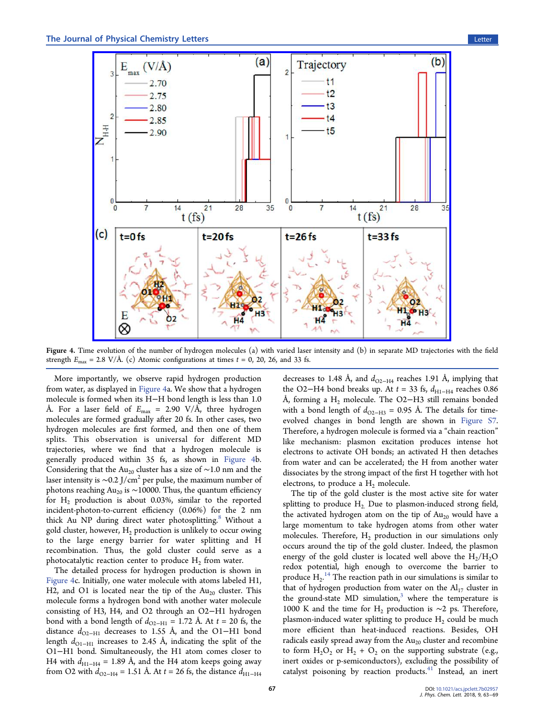

Figure 4. Time evolution of the number of hydrogen molecules (a) with varied laser intensity and (b) in separate MD trajectories with the field strength  $E_{\text{max}} = 2.8 \text{ V/A}$ . (c) Atomic configurations at times  $t = 0$ , 20, 26, and 33 fs.

More importantly, we observe rapid hydrogen production from water, as displayed in Figure 4a. We show that a hydrogen molecule is formed when its H−H bond length is less than 1.0 Å. For a laser field of  $E_{\text{max}} = 2.90 \text{ V/A}$ , three hydrogen molecules are formed gradually after 20 fs. In other cases, two hydrogen molecules are first formed, and then one of them splits. This observation is universal for different MD trajectories, where we find that a hydrogen molecule is generally produced within 35 fs, as shown in Figure 4b. Considering that the Au<sub>20</sub> cluster has a size of ~1.0 nm and the laser intensity is  $\sim$ 0.2 J/cm<sup>2</sup> per pulse, the maximum number of photons reaching Au<sub>20</sub> is ~10000. Thus, the quantum efficiency for  $H_2$  production is about 0.03%, similar to the reported incident-photon-to-current efficiency (0.06%) for the 2 nm thick Au NP during direct water photosplitting.<sup>[8](#page-5-0)</sup> Without a gold cluster, however,  $H_2$  production is unlikely to occur owing to the large energy barrier for water splitting and H recombination. Thus, the gold cluster could serve as a photocatalytic reaction center to produce  $H_2$  from water.

The detailed process for hydrogen production is shown in Figure 4c. Initially, one water molecule with atoms labeled H1, H2, and O1 is located near the tip of the  $Au_{20}$  cluster. This molecule forms a hydrogen bond with another water molecule consisting of H3, H4, and O2 through an O2−H1 hydrogen bond with a bond length of  $d_{\text{O2-H1}} = 1.72$  Å. At  $t = 20$  fs, the distance  $d_{\text{O2-H1}}$  decreases to 1.55 Å, and the O1−H1 bond length  $d_{\text{O1-H1}}$  increases to 2.45 Å, indicating the split of the O1−H1 bond. Simultaneously, the H1 atom comes closer to H4 with  $d_{\text{H1-H4}}$  = 1.89 Å, and the H4 atom keeps going away from O2 with  $d_{\text{O2-H4}} = 1.51$  Å. At  $t = 26$  fs, the distance  $d_{\text{H1-H4}}$ 

decreases to 1.48 Å, and  $d_{\text{O2-H4}}$  reaches 1.91 Å, implying that the O2−H4 bond breaks up. At  $t = 33$  fs,  $d_{\text{H1-H4}}$  reaches 0.86 Å, forming a H<sub>2</sub> molecule. The O2−H3 still remains bonded with a bond length of  $d_{\text{O2-H3}} = 0.95$  Å. The details for timeevolved changes in bond length are shown in [Figure S7.](http://pubs.acs.org/doi/suppl/10.1021/acs.jpclett.7b02957/suppl_file/jz7b02957_si_001.pdf) Therefore, a hydrogen molecule is formed via a "chain reaction" like mechanism: plasmon excitation produces intense hot electrons to activate OH bonds; an activated H then detaches from water and can be accelerated; the H from another water dissociates by the strong impact of the first H together with hot electrons, to produce a  $H_2$  molecule.

The tip of the gold cluster is the most active site for water splitting to produce  $H_2$ . Due to plasmon-induced strong field, the activated hydrogen atom on the tip of  $Au_{20}$  would have a large momentum to take hydrogen atoms from other water molecules. Therefore,  $H_2$  production in our simulations only occurs around the tip of the gold cluster. Indeed, the plasmon energy of the gold cluster is located well above the  $H_2/H_2O$ redox potential, high enough to overcome the barrier to produce  $H_2$ .<sup>[14](#page-5-0)</sup> The reaction path in our simulations is similar to that of hydrogen production from water on the  $Al<sub>17</sub>$  cluster in the ground-state MD simulation, $3$  where the temperature is 1000 K and the time for H<sub>2</sub> production is ∼2 ps. Therefore, plasmon-induced water splitting to produce  $H_2$  could be much more efficient than heat-induced reactions. Besides, OH radicals easily spread away from the  $Au_{20}$  cluster and recombine to form  $H_2O_2$  or  $H_2 + O_2$  on the supporting substrate (e.g., inert oxides or p-semiconductors), excluding the possibility of catalyst poisoning by reaction products. $41$  Instead, an inert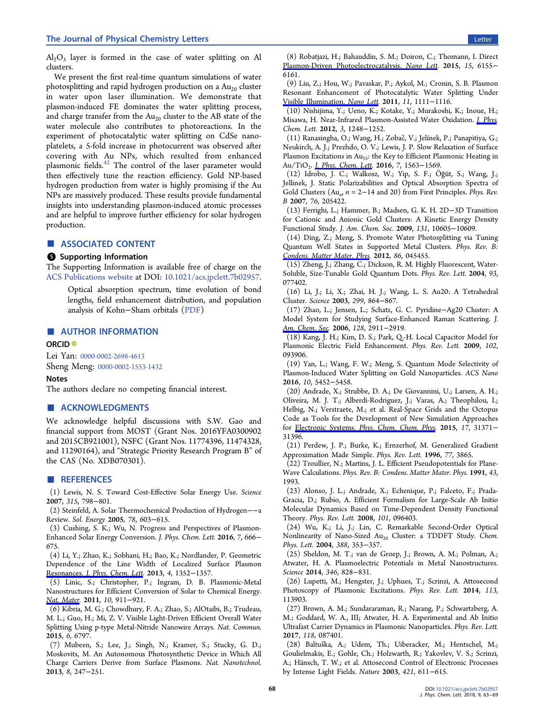<span id="page-5-0"></span> $Al_2O_3$  layer is formed in the case of water splitting on Al clusters.

We present the first real-time quantum simulations of water photosplitting and rapid hydrogen production on a  $Au_{20}$  cluster in water upon laser illumination. We demonstrate that plasmon-induced FE dominates the water splitting process, and charge transfer from the  $Au_{20}$  cluster to the AB state of the water molecule also contributes to photoreactions. In the experiment of photocatalytic water splitting on CdSe nanoplatelets, a 5-fold increase in photocurrent was observed after covering with Au NPs, which resulted from enhanced plasmonic fields.[42](#page-6-0) The control of the laser parameter would then effectively tune the reaction efficiency. Gold NP-based hydrogen production from water is highly promising if the Au NPs are massively produced. These results provide fundamental insights into understanding plasmon-induced atomic processes and are helpful to improve further efficiency for solar hydrogen production.

# ■ ASSOCIATED CONTENT

## **6** Supporting Information

The Supporting Information is available free of charge on the [ACS Publications website](http://pubs.acs.org) at DOI: [10.1021/acs.jpclett.7b02957.](http://pubs.acs.org/doi/abs/10.1021/acs.jpclett.7b02957)

Optical absorption spectrum, time evolution of bond lengths, field enhancement distribution, and population analysis of Kohn−Sham orbitals ([PDF\)](http://pubs.acs.org/doi/suppl/10.1021/acs.jpclett.7b02957/suppl_file/jz7b02957_si_001.pdf)

## ■ AUTHOR INFORMATION

#### ORCID<sup>®</sup>

Lei Yan: [0000-0002-2698-4613](http://orcid.org/0000-0002-2698-4613)

Sheng Meng: [0000-0002-1553-1432](http://orcid.org/0000-0002-1553-1432)

## Notes

The authors declare no competing financial interest.

# ■ ACKNOWLEDGMENTS

We acknowledge helpful discussions with S.W. Gao and financial support from MOST (Grant Nos. 2016YFA0300902 and 2015CB921001), NSFC (Grant Nos. 11774396, 11474328, and 11290164), and "Strategic Priority Research Program B" of the CAS (No. XDB070301).

#### ■ REFERENCES

(1) Lewis, N. S. Toward Cost-Effective Solar Energy Use. Science 2007, 315, 798−801.

(2) Steinfeld, A. Solar Thermochemical Production of Hydrogen−−a Review. Sol. Energy 2005, 78, 603−615.

(3) Cushing, S. K.; Wu, N. Progress and Perspectives of Plasmon-Enhanced Solar Energy Conversion. J. Phys. Chem. Lett. 2016, 7, 666− 675.

(4) Li, Y.; Zhao, K.; Sobhani, H.; Bao, K.; Nordlander, P. Geometric Dependence of the Line Width of Localized Surface Plasmon Resonances. [J. Phys. Chem. Lett](http://pubs.acs.org/action/showLinks?pmid=25854846&crossref=10.1038%2Fncomms7797&coi=1%3ACAS%3A280%3ADC%252BC2MjisVOhtg%253D%253D&citationId=p_n_14_1). 2013, 4, 1352−1357.

(5) Linic, S.; Christopher, P.; Ingram, D. B. Plasmonic-Metal Nanostructures for Efficient Conversion of Solar to Chemical Energy. [Nat. Mater.](http://pubs.acs.org/action/showLinks?system=10.1021%2Fnl104005n&coi=1%3ACAS%3A528%3ADC%252BC3MXhvFWhsr0%253D&citationId=p_n_19_1) 2011, 10, 911−921.

(6) Kibria, M. G.; Chowdhury, F. A.; Zhao, S.; AlOtaibi, B.; Trudeau, M. L.; Guo, H.; Mi, Z. V. Visible Light-Driven Efficient Overall Water Splitting Using p-type Metal-Nitride Nanowire Arrays. Nat. Commun. 2015, 6, 6797.

(7) Mubeen, S.; Lee, J.; Singh, N.; Kramer, S.; Stucky, G. D.; Moskovits, M. An Autonomous Photosynthetic Device in Which All Charge Carriers Derive from Surface Plasmons. Nat. Nanotechnol. 2013, 8, 247−251.

(9) Liu, Z.; Hou, W.; Pavaskar, P.; Aykol, M.; Cronin, S. B. Plasmon Resonant Enhancement of Photocatalytic Water Splitting Under [Visible Illumination.](http://pubs.acs.org/action/showLinks?system=10.1021%2Fja0556326&coi=1%3ACAS%3A528%3ADC%252BD28Xht1Cjsro%253D&citationId=p_n_37_1) Nano Lett. 2011, 11, 1111−1116.

(10) Nishijima, Y.; Ueno, K.; Kotake, Y.; Murakoshi, K.; Inoue, H.; Misawa, H. Near-Infrared Plasmon-Assisted Water Oxidation. [J. Phys.](http://pubs.acs.org/action/showLinks?system=10.1021%2Facsnano.6b01840&coi=1%3ACAS%3A528%3ADC%252BC28XmvFKqtro%253D&citationId=p_n_41_1) Chem. Lett. 2012, 3, 1248−1252.

(11) Ranasingha, O.; Wang, H.; Zobac, V.; Jelínek, P.; Panapitiya, G.; ̌ Neukirch, A. J.; Prezhdo, O. V.; Lewis, J. P. Slow Relaxation of Surface Plasmon Excitations in Au<sub>55</sub>: the Key to Efficient Plasmonic Heating in Au/TiO<sub>2</sub>. *[J. Phys. Chem. Lett.](http://pubs.acs.org/action/showLinks?crossref=10.1016%2Fj.cplett.2004.03.033&coi=1%3ACAS%3A528%3ADC%252BD2cXjtVSiurs%253D&citationId=p_n_48_1)* 2016, 7, 1563-1569.

(12) Idrobo, J. C.; Walkosz, W.; Yip, S. F.; Ö ğüt, S.; Wang, J.; Jellinek, J. Static Polarizabilities and Optical Absorption Spectra of Gold Clusters ( $Au_n$ ,  $n = 2-14$  and 20) from First Principles. Phys. Rev. B 2007, 76, 205422.

(13) Ferrighi, L.; Hammer, B.; Madsen, G. K. H. 2D−3D Transition for Cationic and Anionic Gold Clusters: A Kinetic Energy Density Functional Study. J. Am. Chem. Soc. 2009, 131, 10605−10609.

(14) Ding, Z.; Meng, S. Promote Water Photosplitting via Tuning Quantum Well States in Supported Metal Clusters. Phys. Rev. B: [Condens. Matter Mater. Phys](http://pubs.acs.org/action/showLinks?system=10.1021%2Fnl303940z&coi=1%3ACAS%3A528%3ADC%252BC38XhslKhs7%252FN&citationId=p_n_62_1). 2012, 86, 045455.

(15) Zheng, J.; Zhang, C.; Dickson, R. M. Highly Fluorescent, Water-Soluble, Size-Tunable Gold Quantum Dots. Phys. Rev. Lett. 2004, 93, 077402.

(16) Li, J.; Li, X.; Zhai, H. J.; Wang, L. S. Au20: A Tetrahedral Cluster. Science 2003, 299, 864−867.

(17) Zhao, L.; Jensen, L.; Schatz, G. C. Pyridine−Ag20 Cluster: A Model System for Studying Surface-Enhanced Raman Scattering. J. [Am. Chem. Soc](http://pubs.acs.org/action/showLinks?pmid=23178296&crossref=10.1038%2Fnmat3454&coi=1%3ACAS%3A528%3ADC%252BC38XhsFOmtrvJ&citationId=p_n_72_1). 2006, 128, 2911-2919.

(18) Kang, J. H.; Kim, D. S.; Park, Q.-H. Local Capacitor Model for Plasmonic Electric Field Enhancement. Phys. Rev. Lett. 2009, 102, 093906.

(19) Yan, L.; Wang, F. W.; Meng, S. Quantum Mode Selectivity of Plasmon-Induced Water Splitting on Gold Nanoparticles. ACS Nano 2016, 10, 5452−5458.

(20) Andrade, X.; Strubbe, D. A.; De Giovannini, U.; Larsen, A. H.; Oliveira, M. J. T.; Alberdi-Rodriguez, J.; Varas, A.; Theophilou, I.; Helbig, N.; Verstraete, M.; et al. Real-Space Grids and the Octopus Code as Tools for the Development of New Simulation Approaches for Electronic Systems. [Phys. Chem. Chem. Phys](http://pubs.acs.org/action/showLinks?pmid=28508056&crossref=10.1126%2Fsciadv.1602339&citationId=p_n_87_1). 2015, 17, 31371-31396.

(21) Perdew, J. P.; Burke, K.; Ernzerhof, M. Generalized Gradient Approximation Made Simple. Phys. Rev. Lett. 1996, 77, 3865.

(22) Troullier, N.; Martins, J. L. Efficient Pseudopotentials for Plane-Wave Calculations. Phys. Rev. B: Condens. Matter Mater. Phys. 1991, 43, 1993.

(23) Alonso, J. L.; Andrade, X.; Echenique, P.; Falceto, F.; Prada-Gracia, D.; Rubio, A. Efficient Formalism for Large-Scale Ab Initio Molecular Dynamics Based on Time-Dependent Density Functional Theory. Phys. Rev. Lett. 2008, 101, 096403.

(24) Wu, K.; Li, J.; Lin, C. Remarkable Second-Order Optical Nonlinearity of Nano-Sized Au<sub>20</sub> Cluster: a TDDFT Study. Chem. Phys. Lett. 2004, 388, 353−357.

(25) Sheldon, M. T.; van de Groep, J.; Brown, A. M.; Polman, A.; Atwater, H. A. Plasmoelectric Potentials in Metal Nanostructures. Science 2014, 346, 828−831.

(26) Lupetti, M.; Hengster, J.; Uphues, T.; Scrinzi, A. Attosecond Photoscopy of Plasmonic Excitations. Phys. Rev. Lett. 2014, 113, 113903.

(27) Brown, A. M.; Sundararaman, R.; Narang, P.; Schwartzberg, A. M.; Goddard, W. A., III; Atwater, H. A. Experimental and Ab Initio Ultrafast Carrier Dynamics in Plasmonic Nanoparticles. Phys. Rev. Lett. 2017, 118, 087401.

(28) Baltuška, A.; Udem, Th.; Uiberacker, M.; Hentschel, M.; Goulielmakis, E.; Gohle, Ch.; Holzwarth, R.; Yakovlev, V. S.; Scrinzi, A.; Hänsch, T. W.; et al. Attosecond Control of Electronic Processes by Intense Light Fields. Nature 2003, 421, 611−615.